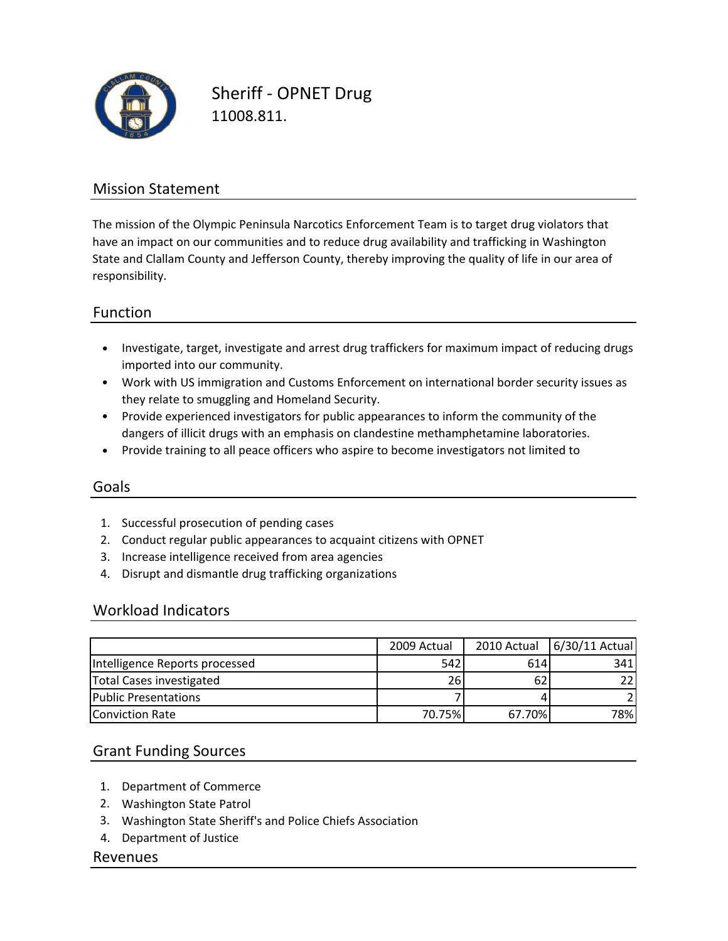

Sheriff ‐ OPNET Drug 11008.811.

### Mission Statement

The mission of the Olympic Peninsula Narcotics Enforcement Team is to target drug violators that have an impact on our communities and to reduce drug availability and trafficking in Washington State and Clallam County and Jefferson County, thereby improving the quality of life in our area of responsibility.

### Function

- Investigate, target, investigate and arrest drug traffickers for maximum impact of reducing drugs imported into our community.
- Work with US immigration and Customs Enforcement on international border security issues as they relate to smuggling and Homeland Security.
- Provide experienced investigators for public appearances to inform the community of the dangers of illicit drugs with an emphasis on clandestine methamphetamine laboratories.
- Provide training to all peace officers who aspire to become investigators not limited to

#### Goals

- 1. Successful prosecution of pending cases
- 2. Conduct regular public appearances to acquaint citizens with OPNET
- 3. Increase intelligence received from area agencies
- 4. Disrupt and dismantle drug trafficking organizations

#### Workload Indicators

|                                | 2009 Actual |        | 2010 Actual   6/30/11 Actual |
|--------------------------------|-------------|--------|------------------------------|
| Intelligence Reports processed | 542         | 614    | 341                          |
| Total Cases investigated       | 26          | 62     | 22 <sub>1</sub>              |
| <b>Public Presentations</b>    |             |        |                              |
| <b>Conviction Rate</b>         | 70.75%      | 67.70% | 78%                          |

#### Grant Funding Sources

- 1. Department of Commerce
- 2. Washington State Patrol
- 3. Washington State Sheriff's and Police Chiefs Association
- 4. Department of Justice

#### Revenues